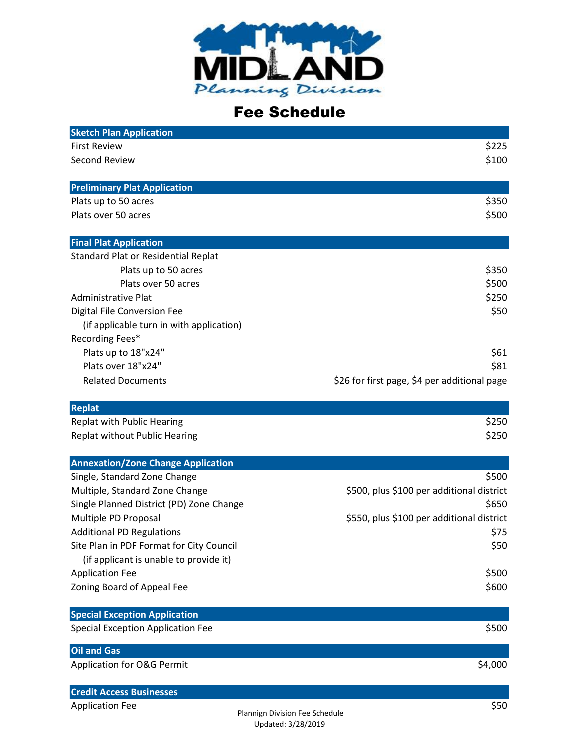

## Fee Schedule

| <b>Sketch Plan Application</b>            |                                              |
|-------------------------------------------|----------------------------------------------|
| <b>First Review</b>                       | \$225                                        |
| <b>Second Review</b>                      | \$100                                        |
| <b>Preliminary Plat Application</b>       |                                              |
| Plats up to 50 acres                      | \$350                                        |
| Plats over 50 acres                       | \$500                                        |
| <b>Final Plat Application</b>             |                                              |
| Standard Plat or Residential Replat       |                                              |
| Plats up to 50 acres                      | \$350                                        |
| Plats over 50 acres                       | \$500                                        |
| Administrative Plat                       | \$250                                        |
| <b>Digital File Conversion Fee</b>        | \$50                                         |
| (if applicable turn in with application)  |                                              |
| Recording Fees*                           |                                              |
| Plats up to 18"x24"                       | \$61                                         |
| Plats over 18"x24"                        | \$81                                         |
| <b>Related Documents</b>                  | \$26 for first page, \$4 per additional page |
| <b>Replat</b>                             |                                              |
| Replat with Public Hearing                | \$250                                        |
| Replat without Public Hearing             | \$250                                        |
| <b>Annexation/Zone Change Application</b> |                                              |
| Single, Standard Zone Change              | \$500                                        |
| Multiple, Standard Zone Change            | \$500, plus \$100 per additional district    |
| Single Planned District (PD) Zone Change  | \$650                                        |
| Multiple PD Proposal                      | \$550, plus \$100 per additional district    |
| <b>Additional PD Regulations</b>          | \$75                                         |
| Site Plan in PDF Format for City Council  | \$50                                         |
| (if applicant is unable to provide it)    |                                              |
| <b>Application Fee</b>                    | \$500                                        |
| Zoning Board of Appeal Fee                | \$600                                        |
| <b>Special Exception Application</b>      |                                              |
| <b>Special Exception Application Fee</b>  | \$500                                        |
| <b>Oil and Gas</b>                        |                                              |
| Application for O&G Permit                | \$4,000                                      |
| <b>Credit Access Businesses</b>           |                                              |

Application Fee \$50